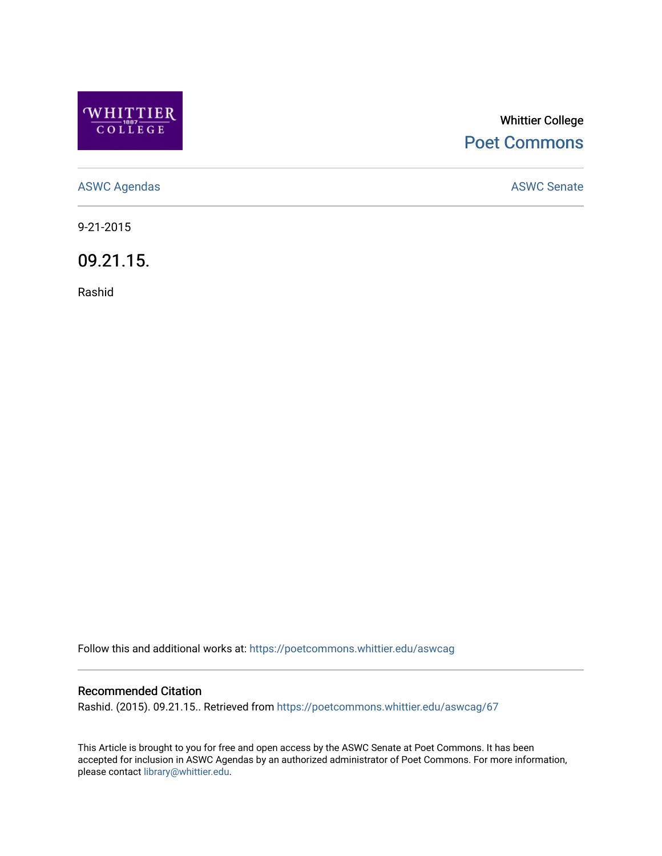

## Whittier College [Poet Commons](https://poetcommons.whittier.edu/)

[ASWC Agendas](https://poetcommons.whittier.edu/aswcag) **ASWC Senate** 

9-21-2015

09.21.15.

Rashid

Follow this and additional works at: [https://poetcommons.whittier.edu/aswcag](https://poetcommons.whittier.edu/aswcag?utm_source=poetcommons.whittier.edu%2Faswcag%2F67&utm_medium=PDF&utm_campaign=PDFCoverPages) 

## Recommended Citation

Rashid. (2015). 09.21.15.. Retrieved from [https://poetcommons.whittier.edu/aswcag/67](https://poetcommons.whittier.edu/aswcag/67?utm_source=poetcommons.whittier.edu%2Faswcag%2F67&utm_medium=PDF&utm_campaign=PDFCoverPages)

This Article is brought to you for free and open access by the ASWC Senate at Poet Commons. It has been accepted for inclusion in ASWC Agendas by an authorized administrator of Poet Commons. For more information, please contact [library@whittier.edu](mailto:library@whittier.edu).